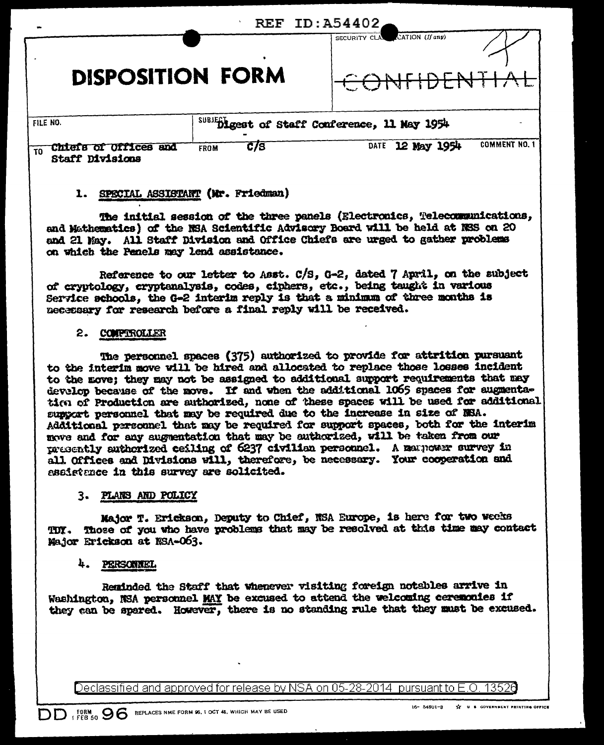| REF.<br>TD: A54402                                                    |                                                 |                                                    |
|-----------------------------------------------------------------------|-------------------------------------------------|----------------------------------------------------|
| <b>DISPOSITION FORM</b>                                               |                                                 | CATION (If any)<br>SECURITY CLA                    |
| FILE NO.                                                              | SUBJECT Digest of Staff Conference, 11 May 1954 |                                                    |
| <b>Offices</b><br>and<br><b>CHIGLE</b><br>ΩI<br>TO<br>Staff Divisions | <b>C/S</b><br>FROM                              | <b>COMMENT NO. 1</b><br>12 May 1954<br><b>DATE</b> |

# 1. SPECIAL ASSISTANT (Mr. Friedman)

The initial session of the three panels (Electronics, Telecommunications, and Mathematics) of the NSA Scientific Advisory Board will be held at NSS on 20 and 21 May. All Staff Division and Office Chiefs are urged to gather problems on which the Penels may lend assistance.

Reference to our letter to Asst. C/S, G-2, dated 7 April, on the subject of cryptology, cryptanalysis, codes, ciphers, etc., being taught in various Service schools, the G-2 interim reply is that a minimum of three months is necessary for research before a final reply will be received.

#### 2. COMPTROLLER

The personnel spaces (375) authorized to provide for attrition pursuant to the interim move will be hired and allocated to replace those losses incident to the move; they may not be assigned to additional support requirements that may develop because of the move. If and when the additional 1065 spaces for augmentation of Production are authorized, none of these spaces will be used for additional support personnel that may be required due to the increase in size of NSA. Additional personnel that may be required for support spaces, both for the interim move and for any augmentation that may be authorized, will be taken from our presently authorized ceiling of 6237 civilian personnel. A mannower survey in all Offices and Divisions will, therefore, be necessary. Your cooperation and assistance in this survey are solicited.

### 3. PLANS AND POLICY

Major T. Erickson, Deputy to Chief, NSA Europe, is here for two weeks Those of you who have problems that may be resolved at this time may contact TIJY. Major Erickson at NSA-063.

# 4. PERSONNEL

Reminded the Staff that whenever visiting foreign notables arrive in Washington, NSA personnel MAY be excused to attend the welcoming ceremonies if they can be spared. However, there is no standing rule that they must be excused.

Declassified and approved for release by NSA on 05-28-2014 pursuant to E.O. 13528